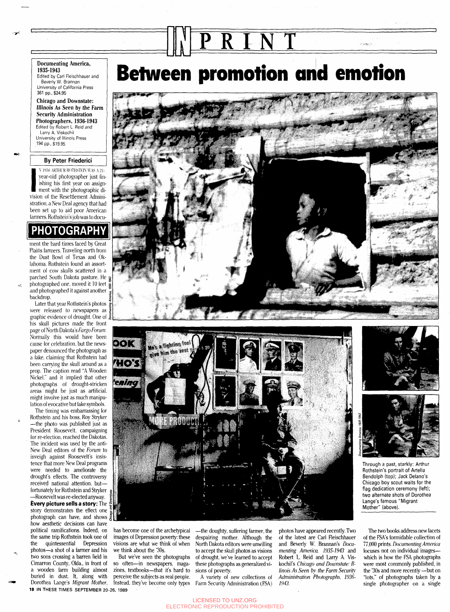#### **Documenting America, 1935-1943**

Edited by Carl Fleischhauer and Beverly W. Brannan University of California Press 361 pp., \$24.95

**Chicago and Downstate: Illinois As Seen by the Farm Security Administration Photographers, 1936-1943** Edited by Robert L. Reid and Larry A. Viskochil University of Illinois Press 194 pp., \$19.95

### **By Peter Friederici**

Ishing his first year on assignment with the photographic di-N 1936 ARTHUR ROTHSTEIN WAS A 21year-old photographer just finishing his first year on assignvision of the Resettlement Administration, a New Deal agency that had been set up to aid poor American farmers. Rothstein's job was to docu-

## **PHOTOGRAPHY**

ment the hard times faced by Great Plains farmers. Traveling north from the Dust Bowl of Texas and Oklahoma. Rothstein found an assortment of cow skulls scattered in a parched South Dakota pasture. He photographed one. moved it 10 feet and photographed it against another backdrop.

ينجيز

Later that year Rothstein's photos were released to newspapers as graphic evidence of drought. One of his skull pictures made the front page of North Dakota's *Fargo Forum.* Normally this would have been cause for celebration, but the newspaper denounced the photograph as a fake, claiming that Rothstein had been carrying the skull around as a prop. The caption read "A Wooden Nickel." and it implied that other photographs of drought-stricken areas might be just as artificial, might involve just as much manipulation of evocative but fake symbols.

The timing was embarrassing for Rothstein and his boss. Roy Stryker —the photo was published just as President Roosevelt, campaigning for re-election, reached the Dakotas. The incident was used by the anti-New Deal editors of the *Forum* to inveigh against Roosevelt's insistence that more New Deal programs were needed to ameliorate the drought's effects. The controversy received national attention, but fortunately for Rothstein and Stryker

—Roosevelt was re-elected anyway. **Every picture sells a story:** The story demonstrates the effect one photograph can have, and shows how aesthetic decisions can have political ramifications. Indeed, on the same trip Rothstein took one of the quintessential Depression photos—a shot of a farmer and his two sons crossing a barren field in Cimarron County, Okla., in front of a wooden farm building almost buried in dust. It, along with Dorothea Lange's *Migrant Mother,* 18 IN THESE TIMES SEPTEMBER 20 **26, 1989**

# **Between promotion and emotion**

**PRIN T**





has become one of the archetypical images of Depression poverty: these visions are what we think of when we think about the '30s.

But we've seen the photographs so often—in newspapers, magazines, textbooks—that it's hard to perceive the subjects as real people. Instead, they've become only types

—the doughty, suffering farmer, the despairing mother. Although the North Dakota editors were unwilling to accept the skull photos as visions of drought, we've learned to accept these photographs as generalized visions of poverty.

A variety of new collections of Farm Security Administration (FSA) photos have appeared recently. Two of the latest are Carl Fleischhauer and Beverly W. Brannan's *Documenting America, 1935-1943* and Robert L. Reid and Larry A. Viskochil's *Chicago and Downstate: Illinois As Seen by the Farm Security Administration Photographs, 1936- 1943.*



وضمعهم أرد

Through a past, starkly. Arthur Rothstein's portrait of Artelia Bendolph (top); Jack Delano's Chicago boy scout waits for the flag dedication ceremony (left); two alternate shots of Dorothea Lange's famous "Migrant Mother" (above).

The two books address new facets of the FSA's formidable collection of 77,000 prints. *Documenting America* focuses not on individual images which is how the FSA photographs were most commonly published, in the '30s and more recently —but on "lots," of photographs taken by a single photographer on a single